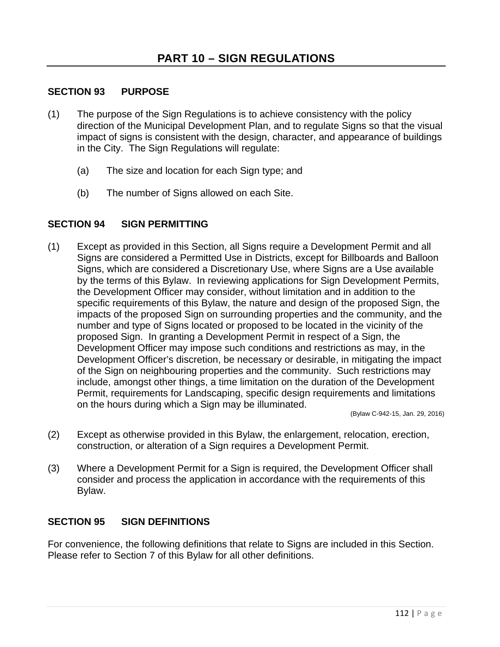## **SECTION 93 PURPOSE**

- (1) The purpose of the Sign Regulations is to achieve consistency with the policy direction of the Municipal Development Plan, and to regulate Signs so that the visual impact of signs is consistent with the design, character, and appearance of buildings in the City. The Sign Regulations will regulate:
	- (a) The size and location for each Sign type; and
	- (b) The number of Signs allowed on each Site.

## **SECTION 94 SIGN PERMITTING**

(1) Except as provided in this Section, all Signs require a Development Permit and all Signs are considered a Permitted Use in Districts, except for Billboards and Balloon Signs, which are considered a Discretionary Use, where Signs are a Use available by the terms of this Bylaw. In reviewing applications for Sign Development Permits, the Development Officer may consider, without limitation and in addition to the specific requirements of this Bylaw, the nature and design of the proposed Sign, the impacts of the proposed Sign on surrounding properties and the community, and the number and type of Signs located or proposed to be located in the vicinity of the proposed Sign. In granting a Development Permit in respect of a Sign, the Development Officer may impose such conditions and restrictions as may, in the Development Officer's discretion, be necessary or desirable, in mitigating the impact of the Sign on neighbouring properties and the community. Such restrictions may include, amongst other things, a time limitation on the duration of the Development Permit, requirements for Landscaping, specific design requirements and limitations on the hours during which a Sign may be illuminated.

(Bylaw C-942-15, Jan. 29, 2016)

- (2) Except as otherwise provided in this Bylaw, the enlargement, relocation, erection, construction, or alteration of a Sign requires a Development Permit.
- (3) Where a Development Permit for a Sign is required, the Development Officer shall consider and process the application in accordance with the requirements of this Bylaw.

## **SECTION 95 SIGN DEFINITIONS**

For convenience, the following definitions that relate to Signs are included in this Section. Please refer to Section 7 of this Bylaw for all other definitions.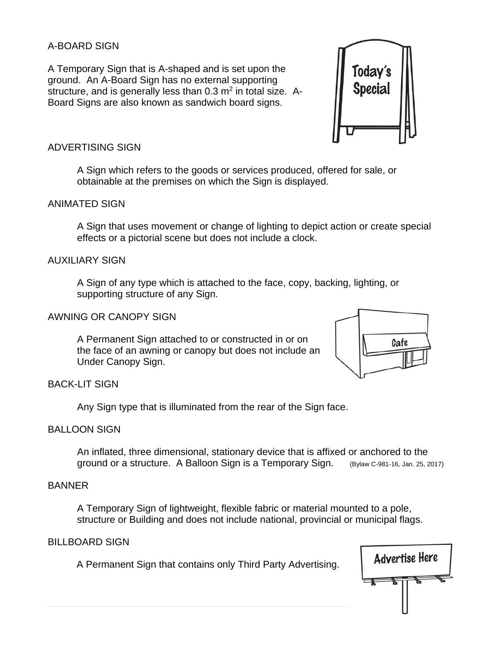### A-BOARD SIGN

A Temporary Sign that is A-shaped and is set upon the ground. An A-Board Sign has no external supporting structure, and is generally less than  $0.3$  m<sup>2</sup> in total size. A-Board Signs are also known as sandwich board signs.



### ADVERTISING SIGN

A Sign which refers to the goods or services produced, offered for sale, or obtainable at the premises on which the Sign is displayed.

### ANIMATED SIGN

A Sign that uses movement or change of lighting to depict action or create special effects or a pictorial scene but does not include a clock.

#### AUXILIARY SIGN

A Sign of any type which is attached to the face, copy, backing, lighting, or supporting structure of any Sign.

### AWNING OR CANOPY SIGN

A Permanent Sign attached to or constructed in or on the face of an awning or canopy but does not include an Under Canopy Sign.



## BACK-LIT SIGN

Any Sign type that is illuminated from the rear of the Sign face.

## BALLOON SIGN

An inflated, three dimensional, stationary device that is affixed or anchored to the ground or a structure. A Balloon Sign is a Temporary Sign. (Bylaw C-981-16, Jan. 25, 2017)

### BANNER

A Temporary Sign of lightweight, flexible fabric or material mounted to a pole, structure or Building and does not include national, provincial or municipal flags.

#### BILLBOARD SIGN

A Permanent Sign that contains only Third Party Advertising.

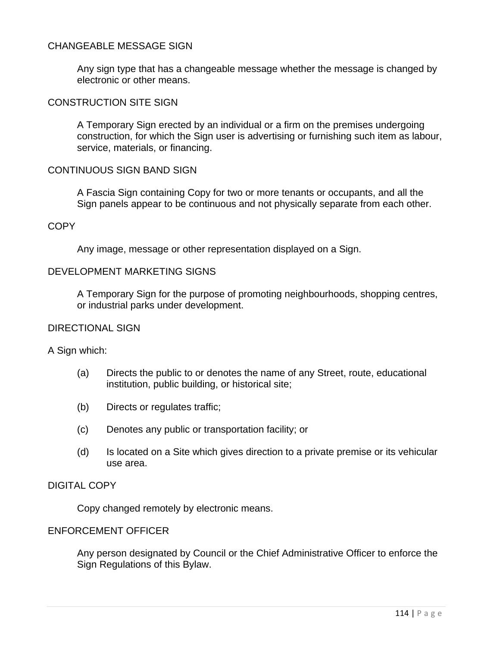### CHANGEABLE MESSAGE SIGN

Any sign type that has a changeable message whether the message is changed by electronic or other means.

#### CONSTRUCTION SITE SIGN

A Temporary Sign erected by an individual or a firm on the premises undergoing construction, for which the Sign user is advertising or furnishing such item as labour, service, materials, or financing.

#### CONTINUOUS SIGN BAND SIGN

A Fascia Sign containing Copy for two or more tenants or occupants, and all the Sign panels appear to be continuous and not physically separate from each other.

### **COPY**

Any image, message or other representation displayed on a Sign.

### DEVELOPMENT MARKETING SIGNS

A Temporary Sign for the purpose of promoting neighbourhoods, shopping centres, or industrial parks under development.

#### DIRECTIONAL SIGN

A Sign which:

- (a) Directs the public to or denotes the name of any Street, route, educational institution, public building, or historical site;
- (b) Directs or regulates traffic;
- (c) Denotes any public or transportation facility; or
- (d) Is located on a Site which gives direction to a private premise or its vehicular use area.

### DIGITAL COPY

Copy changed remotely by electronic means.

### ENFORCEMENT OFFICER

Any person designated by Council or the Chief Administrative Officer to enforce the Sign Regulations of this Bylaw.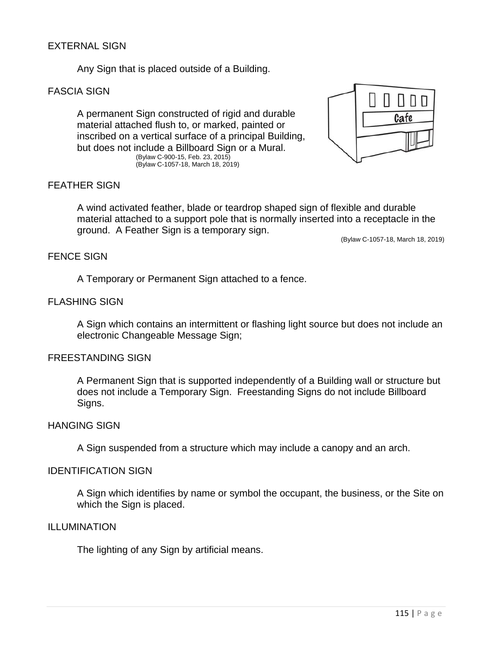## EXTERNAL SIGN

Any Sign that is placed outside of a Building.

### FASCIA SIGN

A permanent Sign constructed of rigid and durable material attached flush to, or marked, painted or inscribed on a vertical surface of a principal Building, but does not include a Billboard Sign or a Mural. (Bylaw C-900-15, Feb. 23, 2015) (Bylaw C-1057-18, March 18, 2019)



### FEATHER SIGN

 A wind activated feather, blade or teardrop shaped sign of flexible and durable material attached to a support pole that is normally inserted into a receptacle in the ground. A Feather Sign is a temporary sign.

(Bylaw C-1057-18, March 18, 2019)

### FENCE SIGN

A Temporary or Permanent Sign attached to a fence.

### FLASHING SIGN

A Sign which contains an intermittent or flashing light source but does not include an electronic Changeable Message Sign;

#### FREESTANDING SIGN

A Permanent Sign that is supported independently of a Building wall or structure but does not include a Temporary Sign. Freestanding Signs do not include Billboard Signs.

#### HANGING SIGN

A Sign suspended from a structure which may include a canopy and an arch.

#### IDENTIFICATION SIGN

A Sign which identifies by name or symbol the occupant, the business, or the Site on which the Sign is placed.

#### ILLUMINATION

The lighting of any Sign by artificial means.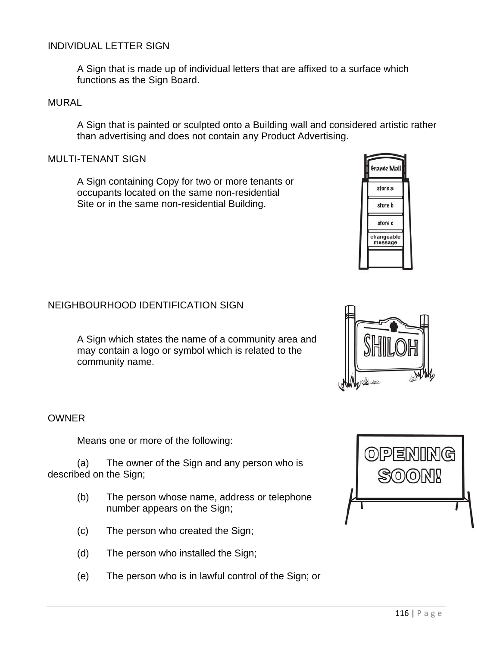## INDIVIDUAL LETTER SIGN

A Sign that is made up of individual letters that are affixed to a surface which functions as the Sign Board.

#### MURAL

A Sign that is painted or sculpted onto a Building wall and considered artistic rather than advertising and does not contain any Product Advertising.

#### MULTI-TENANT SIGN

A Sign containing Copy for two or more tenants or occupants located on the same non-residential Site or in the same non-residential Building.

### NEIGHBOURHOOD IDENTIFICATION SIGN

A Sign which states the name of a community area and may contain a logo or symbol which is related to the community name.

#### **OWNER**

Means one or more of the following:

(a) The owner of the Sign and any person who is described on the Sign;

- (b) The person whose name, address or telephone number appears on the Sign;
- (c) The person who created the Sign;
- (d) The person who installed the Sign;
- (e) The person who is in lawful control of the Sign; or







Grande Ma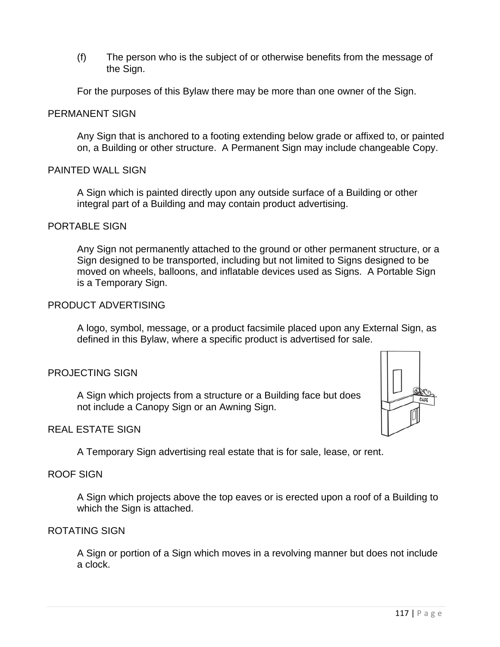(f) The person who is the subject of or otherwise benefits from the message of the Sign.

For the purposes of this Bylaw there may be more than one owner of the Sign.

### PERMANENT SIGN

Any Sign that is anchored to a footing extending below grade or affixed to, or painted on, a Building or other structure. A Permanent Sign may include changeable Copy.

### PAINTED WALL SIGN

A Sign which is painted directly upon any outside surface of a Building or other integral part of a Building and may contain product advertising.

#### PORTABLE SIGN

Any Sign not permanently attached to the ground or other permanent structure, or a Sign designed to be transported, including but not limited to Signs designed to be moved on wheels, balloons, and inflatable devices used as Signs. A Portable Sign is a Temporary Sign.

### PRODUCT ADVERTISING

A logo, symbol, message, or a product facsimile placed upon any External Sign, as defined in this Bylaw, where a specific product is advertised for sale.

#### PROJECTING SIGN

A Sign which projects from a structure or a Building face but does not include a Canopy Sign or an Awning Sign.

### REAL ESTATE SIGN

A Temporary Sign advertising real estate that is for sale, lease, or rent.

#### ROOF SIGN

A Sign which projects above the top eaves or is erected upon a roof of a Building to which the Sign is attached.

### ROTATING SIGN

A Sign or portion of a Sign which moves in a revolving manner but does not include a clock.

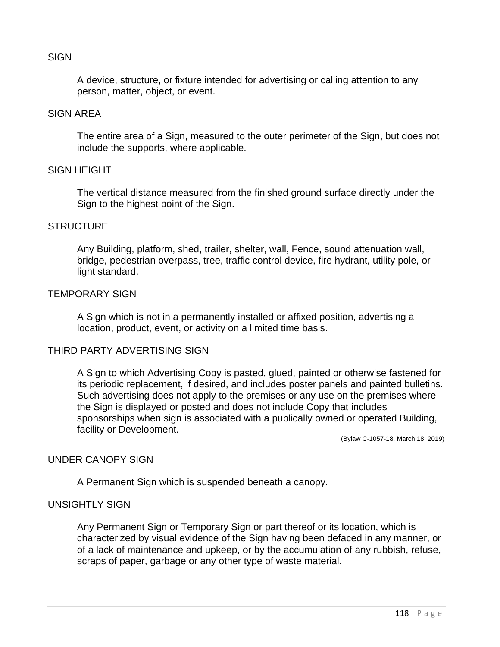### **SIGN**

A device, structure, or fixture intended for advertising or calling attention to any person, matter, object, or event.

#### SIGN AREA

The entire area of a Sign, measured to the outer perimeter of the Sign, but does not include the supports, where applicable.

#### SIGN HEIGHT

The vertical distance measured from the finished ground surface directly under the Sign to the highest point of the Sign.

#### **STRUCTURE**

Any Building, platform, shed, trailer, shelter, wall, Fence, sound attenuation wall, bridge, pedestrian overpass, tree, traffic control device, fire hydrant, utility pole, or light standard.

#### TEMPORARY SIGN

A Sign which is not in a permanently installed or affixed position, advertising a location, product, event, or activity on a limited time basis.

#### THIRD PARTY ADVERTISING SIGN

A Sign to which Advertising Copy is pasted, glued, painted or otherwise fastened for its periodic replacement, if desired, and includes poster panels and painted bulletins. Such advertising does not apply to the premises or any use on the premises where the Sign is displayed or posted and does not include Copy that includes sponsorships when sign is associated with a publically owned or operated Building, facility or Development.

(Bylaw C-1057-18, March 18, 2019)

# UNDER CANOPY SIGN

A Permanent Sign which is suspended beneath a canopy.

## UNSIGHTLY SIGN

Any Permanent Sign or Temporary Sign or part thereof or its location, which is characterized by visual evidence of the Sign having been defaced in any manner, or of a lack of maintenance and upkeep, or by the accumulation of any rubbish, refuse, scraps of paper, garbage or any other type of waste material.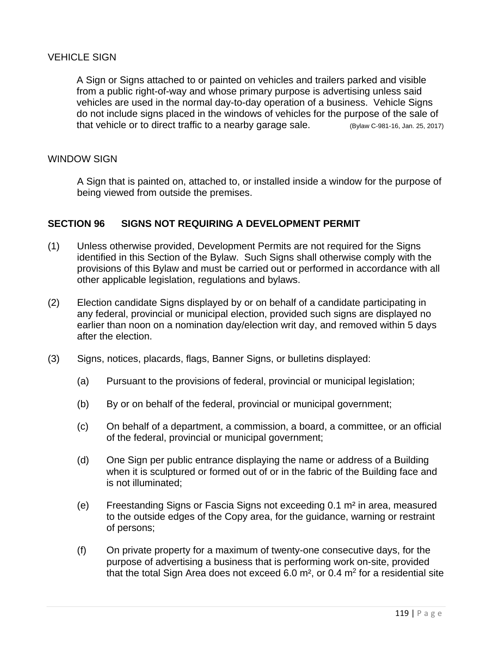## VEHICLE SIGN

A Sign or Signs attached to or painted on vehicles and trailers parked and visible from a public right-of-way and whose primary purpose is advertising unless said vehicles are used in the normal day-to-day operation of a business. Vehicle Signs do not include signs placed in the windows of vehicles for the purpose of the sale of that vehicle or to direct traffic to a nearby garage sale. (Bylaw C-981-16, Jan. 25, 2017)

### WINDOW SIGN

A Sign that is painted on, attached to, or installed inside a window for the purpose of being viewed from outside the premises.

### **SECTION 96 SIGNS NOT REQUIRING A DEVELOPMENT PERMIT**

- (1) Unless otherwise provided, Development Permits are not required for the Signs identified in this Section of the Bylaw. Such Signs shall otherwise comply with the provisions of this Bylaw and must be carried out or performed in accordance with all other applicable legislation, regulations and bylaws.
- (2) Election candidate Signs displayed by or on behalf of a candidate participating in any federal, provincial or municipal election, provided such signs are displayed no earlier than noon on a nomination day/election writ day, and removed within 5 days after the election.
- (3) Signs, notices, placards, flags, Banner Signs, or bulletins displayed:
	- (a) Pursuant to the provisions of federal, provincial or municipal legislation;
	- (b) By or on behalf of the federal, provincial or municipal government;
	- (c) On behalf of a department, a commission, a board, a committee, or an official of the federal, provincial or municipal government;
	- (d) One Sign per public entrance displaying the name or address of a Building when it is sculptured or formed out of or in the fabric of the Building face and is not illuminated;
	- (e) Freestanding Signs or Fascia Signs not exceeding 0.1 m² in area, measured to the outside edges of the Copy area, for the guidance, warning or restraint of persons;
	- (f) On private property for a maximum of twenty-one consecutive days, for the purpose of advertising a business that is performing work on-site, provided that the total Sign Area does not exceed  $6.0$  m<sup>2</sup>, or  $0.4$  m<sup>2</sup> for a residential site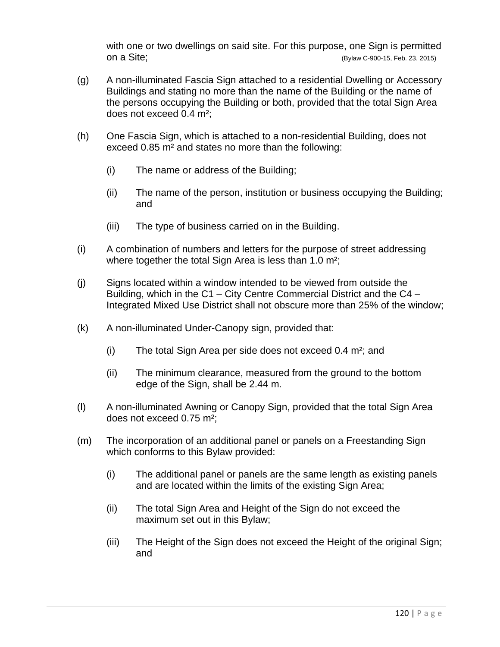with one or two dwellings on said site. For this purpose, one Sign is permitted on a Site; (Bylaw C-900-15, Feb. 23, 2015)

- (g) A non-illuminated Fascia Sign attached to a residential Dwelling or Accessory Buildings and stating no more than the name of the Building or the name of the persons occupying the Building or both, provided that the total Sign Area does not exceed 0.4 m²;
- (h) One Fascia Sign, which is attached to a non-residential Building, does not exceed 0.85 m² and states no more than the following:
	- (i) The name or address of the Building;
	- (ii) The name of the person, institution or business occupying the Building; and
	- (iii) The type of business carried on in the Building.
- (i) A combination of numbers and letters for the purpose of street addressing where together the total Sign Area is less than 1.0 m<sup>2</sup>;
- (j) Signs located within a window intended to be viewed from outside the Building, which in the C1 – City Centre Commercial District and the C4 – Integrated Mixed Use District shall not obscure more than 25% of the window;
- (k) A non-illuminated Under-Canopy sign, provided that:
	- (i) The total Sign Area per side does not exceed 0.4 m²; and
	- (ii) The minimum clearance, measured from the ground to the bottom edge of the Sign, shall be 2.44 m.
- (l) A non-illuminated Awning or Canopy Sign, provided that the total Sign Area does not exceed 0.75 m²;
- (m) The incorporation of an additional panel or panels on a Freestanding Sign which conforms to this Bylaw provided:
	- (i) The additional panel or panels are the same length as existing panels and are located within the limits of the existing Sign Area;
	- (ii) The total Sign Area and Height of the Sign do not exceed the maximum set out in this Bylaw;
	- (iii) The Height of the Sign does not exceed the Height of the original Sign; and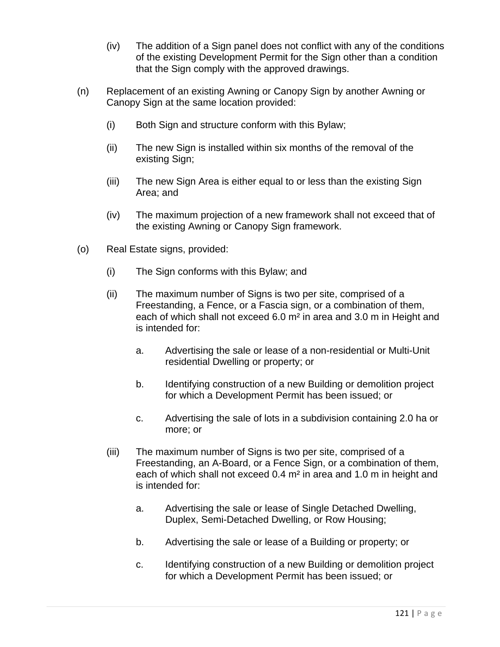- (iv) The addition of a Sign panel does not conflict with any of the conditions of the existing Development Permit for the Sign other than a condition that the Sign comply with the approved drawings.
- (n) Replacement of an existing Awning or Canopy Sign by another Awning or Canopy Sign at the same location provided:
	- (i) Both Sign and structure conform with this Bylaw;
	- (ii) The new Sign is installed within six months of the removal of the existing Sign;
	- (iii) The new Sign Area is either equal to or less than the existing Sign Area; and
	- (iv) The maximum projection of a new framework shall not exceed that of the existing Awning or Canopy Sign framework.
- (o) Real Estate signs, provided:
	- (i) The Sign conforms with this Bylaw; and
	- (ii) The maximum number of Signs is two per site, comprised of a Freestanding, a Fence, or a Fascia sign, or a combination of them, each of which shall not exceed 6.0 m² in area and 3.0 m in Height and is intended for:
		- a. Advertising the sale or lease of a non-residential or Multi-Unit residential Dwelling or property; or
		- b. Identifying construction of a new Building or demolition project for which a Development Permit has been issued; or
		- c. Advertising the sale of lots in a subdivision containing 2.0 ha or more; or
	- (iii) The maximum number of Signs is two per site, comprised of a Freestanding, an A-Board, or a Fence Sign, or a combination of them, each of which shall not exceed 0.4 m² in area and 1.0 m in height and is intended for:
		- a. Advertising the sale or lease of Single Detached Dwelling, Duplex, Semi-Detached Dwelling, or Row Housing;
		- b. Advertising the sale or lease of a Building or property; or
		- c. Identifying construction of a new Building or demolition project for which a Development Permit has been issued; or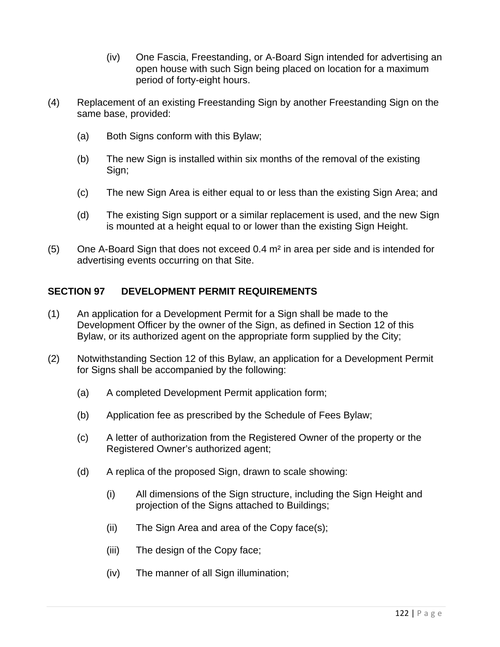- (iv) One Fascia, Freestanding, or A-Board Sign intended for advertising an open house with such Sign being placed on location for a maximum period of forty-eight hours.
- (4) Replacement of an existing Freestanding Sign by another Freestanding Sign on the same base, provided:
	- (a) Both Signs conform with this Bylaw;
	- (b) The new Sign is installed within six months of the removal of the existing Sign;
	- (c) The new Sign Area is either equal to or less than the existing Sign Area; and
	- (d) The existing Sign support or a similar replacement is used, and the new Sign is mounted at a height equal to or lower than the existing Sign Height.
- $(5)$  One A-Board Sign that does not exceed 0.4  $m<sup>2</sup>$  in area per side and is intended for advertising events occurring on that Site.

# **SECTION 97 DEVELOPMENT PERMIT REQUIREMENTS**

- (1) An application for a Development Permit for a Sign shall be made to the Development Officer by the owner of the Sign, as defined in Section 12 of this Bylaw, or its authorized agent on the appropriate form supplied by the City;
- (2) Notwithstanding Section 12 of this Bylaw, an application for a Development Permit for Signs shall be accompanied by the following:
	- (a) A completed Development Permit application form;
	- (b) Application fee as prescribed by the Schedule of Fees Bylaw;
	- (c) A letter of authorization from the Registered Owner of the property or the Registered Owner's authorized agent;
	- (d) A replica of the proposed Sign, drawn to scale showing:
		- (i) All dimensions of the Sign structure, including the Sign Height and projection of the Signs attached to Buildings;
		- (ii) The Sign Area and area of the Copy face(s);
		- (iii) The design of the Copy face;
		- (iv) The manner of all Sign illumination;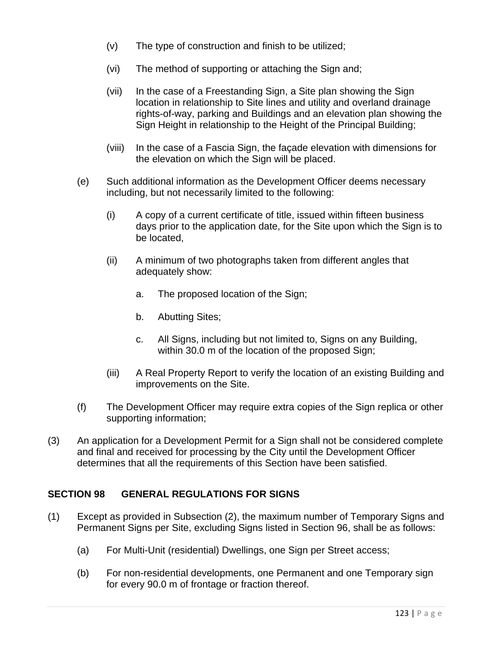- (v) The type of construction and finish to be utilized;
- (vi) The method of supporting or attaching the Sign and;
- (vii) In the case of a Freestanding Sign, a Site plan showing the Sign location in relationship to Site lines and utility and overland drainage rights-of-way, parking and Buildings and an elevation plan showing the Sign Height in relationship to the Height of the Principal Building;
- (viii) In the case of a Fascia Sign, the façade elevation with dimensions for the elevation on which the Sign will be placed.
- (e) Such additional information as the Development Officer deems necessary including, but not necessarily limited to the following:
	- (i) A copy of a current certificate of title, issued within fifteen business days prior to the application date, for the Site upon which the Sign is to be located,
	- (ii) A minimum of two photographs taken from different angles that adequately show:
		- a. The proposed location of the Sign;
		- b. Abutting Sites;
		- c. All Signs, including but not limited to, Signs on any Building, within 30.0 m of the location of the proposed Sign;
	- (iii) A Real Property Report to verify the location of an existing Building and improvements on the Site.
- (f) The Development Officer may require extra copies of the Sign replica or other supporting information;
- (3) An application for a Development Permit for a Sign shall not be considered complete and final and received for processing by the City until the Development Officer determines that all the requirements of this Section have been satisfied.

# **SECTION 98 GENERAL REGULATIONS FOR SIGNS**

- (1) Except as provided in Subsection (2), the maximum number of Temporary Signs and Permanent Signs per Site, excluding Signs listed in Section 96, shall be as follows:
	- (a) For Multi-Unit (residential) Dwellings, one Sign per Street access;
	- (b) For non-residential developments, one Permanent and one Temporary sign for every 90.0 m of frontage or fraction thereof.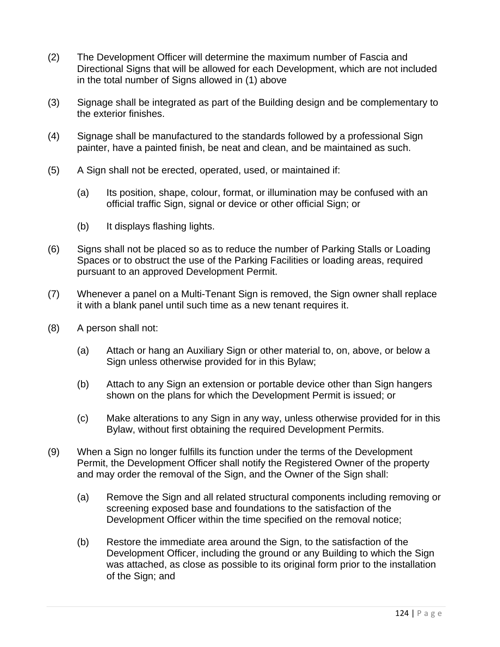- (2) The Development Officer will determine the maximum number of Fascia and Directional Signs that will be allowed for each Development, which are not included in the total number of Signs allowed in (1) above
- (3) Signage shall be integrated as part of the Building design and be complementary to the exterior finishes.
- (4) Signage shall be manufactured to the standards followed by a professional Sign painter, have a painted finish, be neat and clean, and be maintained as such.
- (5) A Sign shall not be erected, operated, used, or maintained if:
	- (a) Its position, shape, colour, format, or illumination may be confused with an official traffic Sign, signal or device or other official Sign; or
	- (b) It displays flashing lights.
- (6) Signs shall not be placed so as to reduce the number of Parking Stalls or Loading Spaces or to obstruct the use of the Parking Facilities or loading areas, required pursuant to an approved Development Permit.
- (7) Whenever a panel on a Multi-Tenant Sign is removed, the Sign owner shall replace it with a blank panel until such time as a new tenant requires it.
- (8) A person shall not:
	- (a) Attach or hang an Auxiliary Sign or other material to, on, above, or below a Sign unless otherwise provided for in this Bylaw;
	- (b) Attach to any Sign an extension or portable device other than Sign hangers shown on the plans for which the Development Permit is issued; or
	- (c) Make alterations to any Sign in any way, unless otherwise provided for in this Bylaw, without first obtaining the required Development Permits.
- (9) When a Sign no longer fulfills its function under the terms of the Development Permit, the Development Officer shall notify the Registered Owner of the property and may order the removal of the Sign, and the Owner of the Sign shall:
	- (a) Remove the Sign and all related structural components including removing or screening exposed base and foundations to the satisfaction of the Development Officer within the time specified on the removal notice;
	- (b) Restore the immediate area around the Sign, to the satisfaction of the Development Officer, including the ground or any Building to which the Sign was attached, as close as possible to its original form prior to the installation of the Sign; and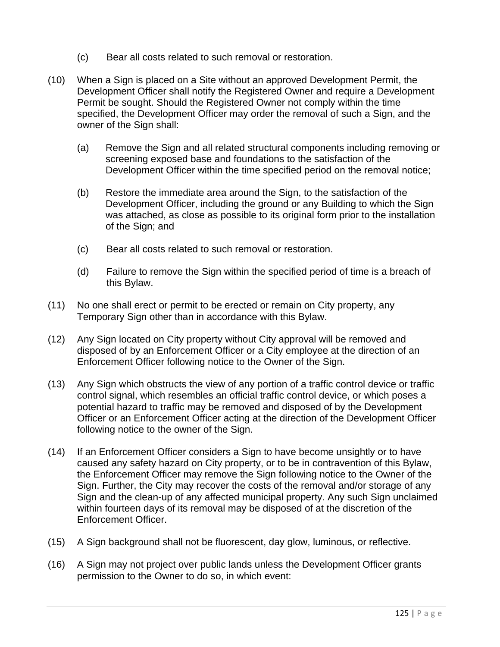- (c) Bear all costs related to such removal or restoration.
- (10) When a Sign is placed on a Site without an approved Development Permit, the Development Officer shall notify the Registered Owner and require a Development Permit be sought. Should the Registered Owner not comply within the time specified, the Development Officer may order the removal of such a Sign, and the owner of the Sign shall:
	- (a) Remove the Sign and all related structural components including removing or screening exposed base and foundations to the satisfaction of the Development Officer within the time specified period on the removal notice;
	- (b) Restore the immediate area around the Sign, to the satisfaction of the Development Officer, including the ground or any Building to which the Sign was attached, as close as possible to its original form prior to the installation of the Sign; and
	- (c) Bear all costs related to such removal or restoration.
	- (d) Failure to remove the Sign within the specified period of time is a breach of this Bylaw.
- (11) No one shall erect or permit to be erected or remain on City property, any Temporary Sign other than in accordance with this Bylaw.
- (12) Any Sign located on City property without City approval will be removed and disposed of by an Enforcement Officer or a City employee at the direction of an Enforcement Officer following notice to the Owner of the Sign.
- (13) Any Sign which obstructs the view of any portion of a traffic control device or traffic control signal, which resembles an official traffic control device, or which poses a potential hazard to traffic may be removed and disposed of by the Development Officer or an Enforcement Officer acting at the direction of the Development Officer following notice to the owner of the Sign.
- (14) If an Enforcement Officer considers a Sign to have become unsightly or to have caused any safety hazard on City property, or to be in contravention of this Bylaw, the Enforcement Officer may remove the Sign following notice to the Owner of the Sign. Further, the City may recover the costs of the removal and/or storage of any Sign and the clean-up of any affected municipal property. Any such Sign unclaimed within fourteen days of its removal may be disposed of at the discretion of the Enforcement Officer.
- (15) A Sign background shall not be fluorescent, day glow, luminous, or reflective.
- (16) A Sign may not project over public lands unless the Development Officer grants permission to the Owner to do so, in which event: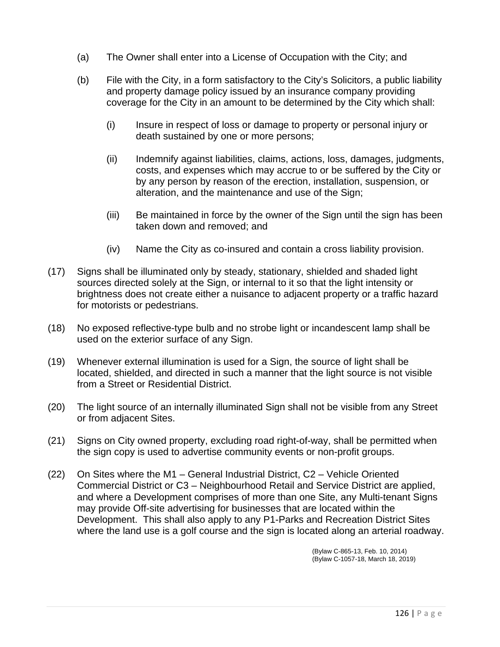- (a) The Owner shall enter into a License of Occupation with the City; and
- (b) File with the City, in a form satisfactory to the City's Solicitors, a public liability and property damage policy issued by an insurance company providing coverage for the City in an amount to be determined by the City which shall:
	- (i) Insure in respect of loss or damage to property or personal injury or death sustained by one or more persons;
	- (ii) Indemnify against liabilities, claims, actions, loss, damages, judgments, costs, and expenses which may accrue to or be suffered by the City or by any person by reason of the erection, installation, suspension, or alteration, and the maintenance and use of the Sign;
	- (iii) Be maintained in force by the owner of the Sign until the sign has been taken down and removed; and
	- (iv) Name the City as co-insured and contain a cross liability provision.
- (17) Signs shall be illuminated only by steady, stationary, shielded and shaded light sources directed solely at the Sign, or internal to it so that the light intensity or brightness does not create either a nuisance to adjacent property or a traffic hazard for motorists or pedestrians.
- (18) No exposed reflective-type bulb and no strobe light or incandescent lamp shall be used on the exterior surface of any Sign.
- (19) Whenever external illumination is used for a Sign, the source of light shall be located, shielded, and directed in such a manner that the light source is not visible from a Street or Residential District.
- (20) The light source of an internally illuminated Sign shall not be visible from any Street or from adjacent Sites.
- (21) Signs on City owned property, excluding road right-of-way, shall be permitted when the sign copy is used to advertise community events or non-profit groups.
- (22) On Sites where the M1 General Industrial District, C2 Vehicle Oriented Commercial District or C3 – Neighbourhood Retail and Service District are applied, and where a Development comprises of more than one Site, any Multi-tenant Signs may provide Off-site advertising for businesses that are located within the Development. This shall also apply to any P1-Parks and Recreation District Sites where the land use is a golf course and the sign is located along an arterial roadway.

 (Bylaw C-865-13, Feb. 10, 2014) (Bylaw C-1057-18, March 18, 2019)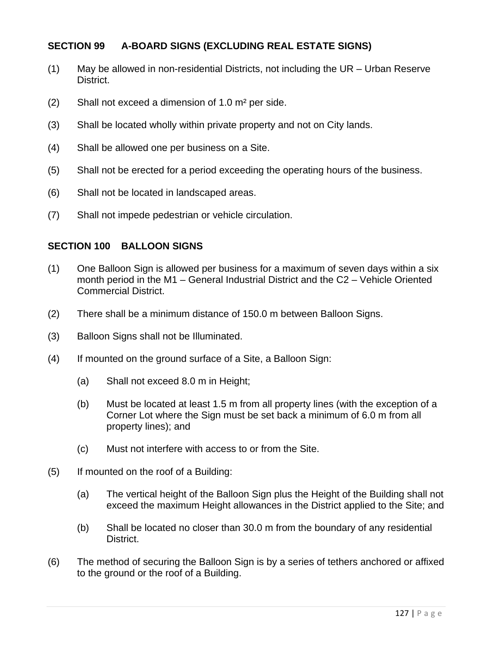## **SECTION 99 A-BOARD SIGNS (EXCLUDING REAL ESTATE SIGNS)**

- (1) May be allowed in non-residential Districts, not including the UR Urban Reserve District.
- (2) Shall not exceed a dimension of 1.0 m² per side.
- (3) Shall be located wholly within private property and not on City lands.
- (4) Shall be allowed one per business on a Site.
- (5) Shall not be erected for a period exceeding the operating hours of the business.
- (6) Shall not be located in landscaped areas.
- (7) Shall not impede pedestrian or vehicle circulation.

### **SECTION 100 BALLOON SIGNS**

- (1) One Balloon Sign is allowed per business for a maximum of seven days within a six month period in the M1 – General Industrial District and the C2 – Vehicle Oriented Commercial District.
- (2) There shall be a minimum distance of 150.0 m between Balloon Signs.
- (3) Balloon Signs shall not be Illuminated.
- (4) If mounted on the ground surface of a Site, a Balloon Sign:
	- (a) Shall not exceed 8.0 m in Height;
	- (b) Must be located at least 1.5 m from all property lines (with the exception of a Corner Lot where the Sign must be set back a minimum of 6.0 m from all property lines); and
	- (c) Must not interfere with access to or from the Site.
- (5) If mounted on the roof of a Building:
	- (a) The vertical height of the Balloon Sign plus the Height of the Building shall not exceed the maximum Height allowances in the District applied to the Site; and
	- (b) Shall be located no closer than 30.0 m from the boundary of any residential District.
- (6) The method of securing the Balloon Sign is by a series of tethers anchored or affixed to the ground or the roof of a Building.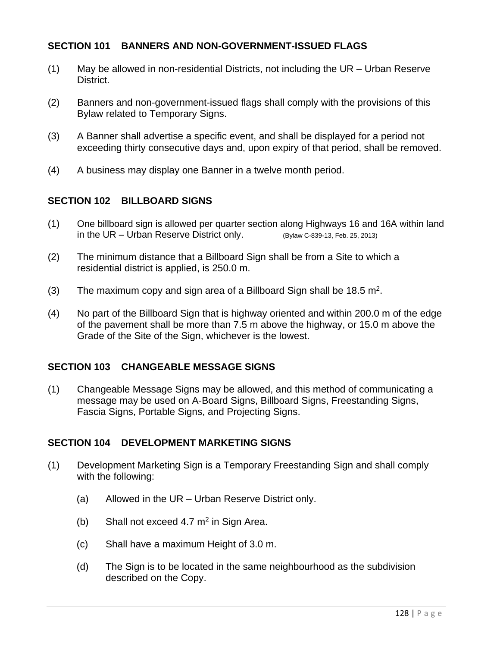## **SECTION 101 BANNERS AND NON-GOVERNMENT-ISSUED FLAGS**

- (1) May be allowed in non-residential Districts, not including the UR Urban Reserve District.
- (2) Banners and non-government-issued flags shall comply with the provisions of this Bylaw related to Temporary Signs.
- (3) A Banner shall advertise a specific event, and shall be displayed for a period not exceeding thirty consecutive days and, upon expiry of that period, shall be removed.
- (4) A business may display one Banner in a twelve month period.

## **SECTION 102 BILLBOARD SIGNS**

- (1) One billboard sign is allowed per quarter section along Highways 16 and 16A within land in the UR – Urban Reserve District only.  $(B$ <sub>V</sub>law C-839-13, Feb. 25, 2013)
- (2) The minimum distance that a Billboard Sign shall be from a Site to which a residential district is applied, is 250.0 m.
- (3) The maximum copy and sign area of a Billboard Sign shall be  $18.5 \text{ m}^2$ .
- (4) No part of the Billboard Sign that is highway oriented and within 200.0 m of the edge of the pavement shall be more than 7.5 m above the highway, or 15.0 m above the Grade of the Site of the Sign, whichever is the lowest.

## **SECTION 103 CHANGEABLE MESSAGE SIGNS**

(1) Changeable Message Signs may be allowed, and this method of communicating a message may be used on A-Board Signs, Billboard Signs, Freestanding Signs, Fascia Signs, Portable Signs, and Projecting Signs.

## **SECTION 104 DEVELOPMENT MARKETING SIGNS**

- (1) Development Marketing Sign is a Temporary Freestanding Sign and shall comply with the following:
	- (a) Allowed in the UR Urban Reserve District only.
	- (b) Shall not exceed  $4.7 \text{ m}^2$  in Sign Area.
	- (c) Shall have a maximum Height of 3.0 m.
	- (d) The Sign is to be located in the same neighbourhood as the subdivision described on the Copy.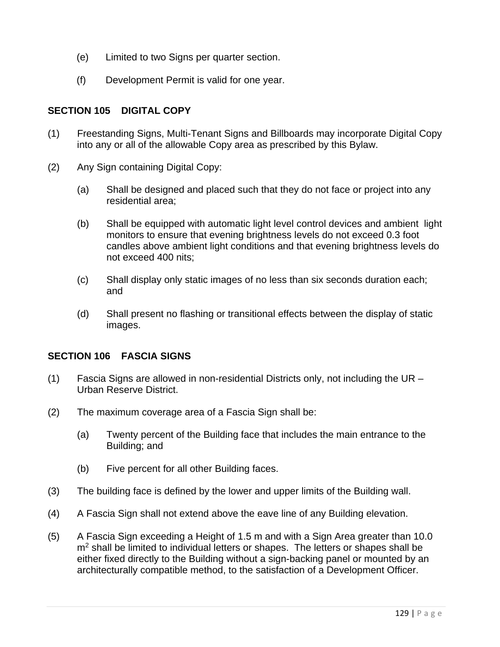- (e) Limited to two Signs per quarter section.
- (f) Development Permit is valid for one year.

## **SECTION 105 DIGITAL COPY**

- (1) Freestanding Signs, Multi-Tenant Signs and Billboards may incorporate Digital Copy into any or all of the allowable Copy area as prescribed by this Bylaw.
- (2) Any Sign containing Digital Copy:
	- (a) Shall be designed and placed such that they do not face or project into any residential area;
	- (b) Shall be equipped with automatic light level control devices and ambient light monitors to ensure that evening brightness levels do not exceed 0.3 foot candles above ambient light conditions and that evening brightness levels do not exceed 400 nits;
	- (c) Shall display only static images of no less than six seconds duration each; and
	- (d) Shall present no flashing or transitional effects between the display of static images.

# **SECTION 106 FASCIA SIGNS**

- (1) Fascia Signs are allowed in non-residential Districts only, not including the UR Urban Reserve District.
- (2) The maximum coverage area of a Fascia Sign shall be:
	- (a) Twenty percent of the Building face that includes the main entrance to the Building; and
	- (b) Five percent for all other Building faces.
- (3) The building face is defined by the lower and upper limits of the Building wall.
- (4) A Fascia Sign shall not extend above the eave line of any Building elevation.
- (5) A Fascia Sign exceeding a Height of 1.5 m and with a Sign Area greater than 10.0 m<sup>2</sup> shall be limited to individual letters or shapes. The letters or shapes shall be either fixed directly to the Building without a sign-backing panel or mounted by an architecturally compatible method, to the satisfaction of a Development Officer.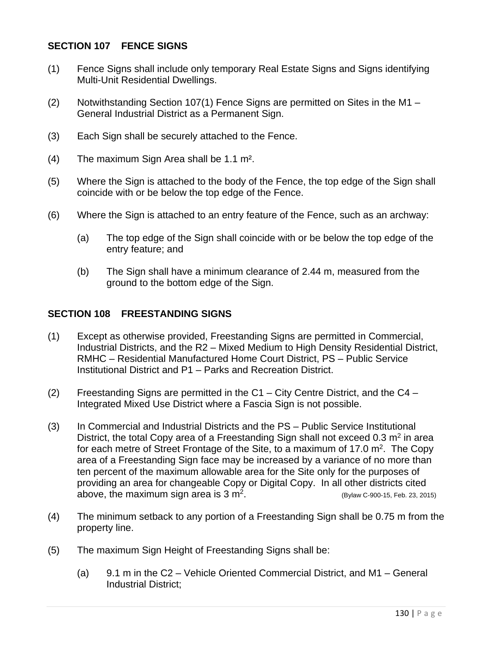## **SECTION 107 FENCE SIGNS**

- (1) Fence Signs shall include only temporary Real Estate Signs and Signs identifying Multi-Unit Residential Dwellings.
- (2) Notwithstanding Section 107(1) Fence Signs are permitted on Sites in the M1 General Industrial District as a Permanent Sign.
- (3) Each Sign shall be securely attached to the Fence.
- (4) The maximum Sign Area shall be 1.1 m².
- (5) Where the Sign is attached to the body of the Fence, the top edge of the Sign shall coincide with or be below the top edge of the Fence.
- (6) Where the Sign is attached to an entry feature of the Fence, such as an archway:
	- (a) The top edge of the Sign shall coincide with or be below the top edge of the entry feature; and
	- (b) The Sign shall have a minimum clearance of 2.44 m, measured from the ground to the bottom edge of the Sign.

### **SECTION 108 FREESTANDING SIGNS**

- (1) Except as otherwise provided, Freestanding Signs are permitted in Commercial, Industrial Districts, and the R2 – Mixed Medium to High Density Residential District, RMHC – Residential Manufactured Home Court District, PS – Public Service Institutional District and P1 – Parks and Recreation District.
- (2) Freestanding Signs are permitted in the C1 City Centre District, and the C4 Integrated Mixed Use District where a Fascia Sign is not possible.
- (3) In Commercial and Industrial Districts and the PS Public Service Institutional District, the total Copy area of a Freestanding Sign shall not exceed  $0.3$  m<sup>2</sup> in area for each metre of Street Frontage of the Site, to a maximum of 17.0  $m<sup>2</sup>$ . The Copy area of a Freestanding Sign face may be increased by a variance of no more than ten percent of the maximum allowable area for the Site only for the purposes of providing an area for changeable Copy or Digital Copy. In all other districts cited above, the maximum sign area is  $3 \text{ m}^2$ . (Bylaw C-900-15, Feb. 23, 2015)
- (4) The minimum setback to any portion of a Freestanding Sign shall be 0.75 m from the property line.
- (5) The maximum Sign Height of Freestanding Signs shall be:
	- (a) 9.1 m in the C2 Vehicle Oriented Commercial District, and M1 General Industrial District;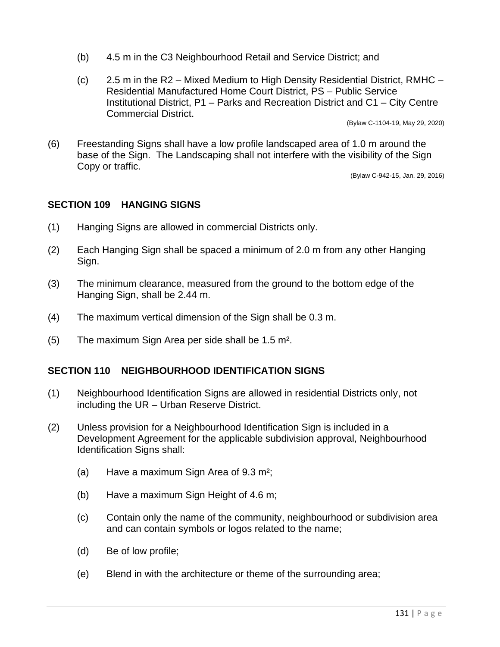- (b) 4.5 m in the C3 Neighbourhood Retail and Service District; and
- (c) 2.5 m in the R2 Mixed Medium to High Density Residential District, RMHC Residential Manufactured Home Court District, PS – Public Service Institutional District, P1 – Parks and Recreation District and C1 – City Centre Commercial District.

(Bylaw C-1104-19, May 29, 2020)

(6) Freestanding Signs shall have a low profile landscaped area of 1.0 m around the base of the Sign. The Landscaping shall not interfere with the visibility of the Sign Copy or traffic.

(Bylaw C-942-15, Jan. 29, 2016)

### **SECTION 109 HANGING SIGNS**

- (1) Hanging Signs are allowed in commercial Districts only.
- (2) Each Hanging Sign shall be spaced a minimum of 2.0 m from any other Hanging Sign.
- (3) The minimum clearance, measured from the ground to the bottom edge of the Hanging Sign, shall be 2.44 m.
- (4) The maximum vertical dimension of the Sign shall be 0.3 m.
- (5) The maximum Sign Area per side shall be 1.5 m².

## **SECTION 110 NEIGHBOURHOOD IDENTIFICATION SIGNS**

- (1) Neighbourhood Identification Signs are allowed in residential Districts only, not including the UR – Urban Reserve District.
- (2) Unless provision for a Neighbourhood Identification Sign is included in a Development Agreement for the applicable subdivision approval, Neighbourhood Identification Signs shall:
	- (a) Have a maximum Sign Area of 9.3 m²;
	- (b) Have a maximum Sign Height of 4.6 m;
	- (c) Contain only the name of the community, neighbourhood or subdivision area and can contain symbols or logos related to the name;
	- (d) Be of low profile;
	- (e) Blend in with the architecture or theme of the surrounding area;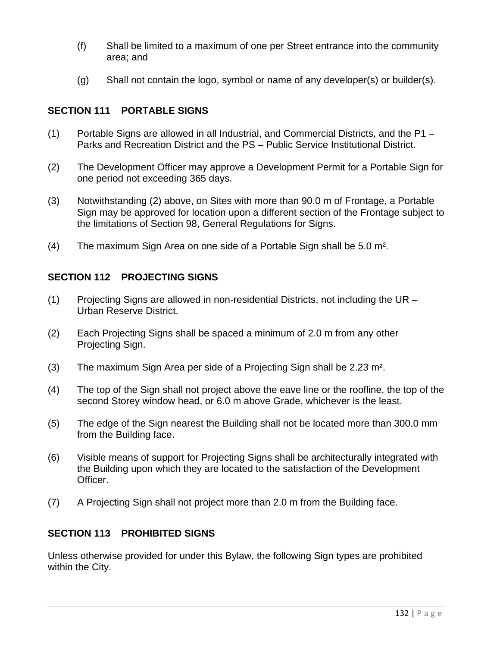- (f) Shall be limited to a maximum of one per Street entrance into the community area; and
- (g) Shall not contain the logo, symbol or name of any developer(s) or builder(s).

## **SECTION 111 PORTABLE SIGNS**

- (1) Portable Signs are allowed in all Industrial, and Commercial Districts, and the P1 Parks and Recreation District and the PS – Public Service Institutional District.
- (2) The Development Officer may approve a Development Permit for a Portable Sign for one period not exceeding 365 days.
- (3) Notwithstanding (2) above, on Sites with more than 90.0 m of Frontage, a Portable Sign may be approved for location upon a different section of the Frontage subject to the limitations of Section 98, General Regulations for Signs.
- (4) The maximum Sign Area on one side of a Portable Sign shall be 5.0 m².

## **SECTION 112 PROJECTING SIGNS**

- (1) Projecting Signs are allowed in non-residential Districts, not including the UR Urban Reserve District.
- (2) Each Projecting Signs shall be spaced a minimum of 2.0 m from any other Projecting Sign.
- (3) The maximum Sign Area per side of a Projecting Sign shall be 2.23 m².
- (4) The top of the Sign shall not project above the eave line or the roofline, the top of the second Storey window head, or 6.0 m above Grade, whichever is the least.
- (5) The edge of the Sign nearest the Building shall not be located more than 300.0 mm from the Building face.
- (6) Visible means of support for Projecting Signs shall be architecturally integrated with the Building upon which they are located to the satisfaction of the Development Officer.
- (7) A Projecting Sign shall not project more than 2.0 m from the Building face.

## **SECTION 113 PROHIBITED SIGNS**

Unless otherwise provided for under this Bylaw, the following Sign types are prohibited within the City.